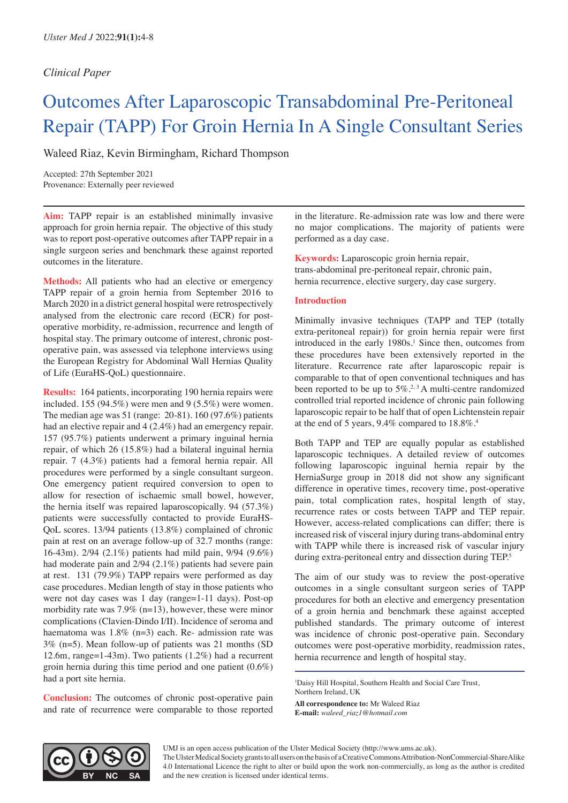# *Clinical Paper*

# Outcomes After Laparoscopic Transabdominal Pre-Peritoneal Repair (TAPP) For Groin Hernia In A Single Consultant Series

Waleed Riaz, Kevin Birmingham, Richard Thompson

Accepted: 27th September 2021 Provenance: Externally peer reviewed

**Aim:** TAPP repair is an established minimally invasive approach for groin hernia repair. The objective of this study was to report post-operative outcomes after TAPP repair in a single surgeon series and benchmark these against reported outcomes in the literature.

**Methods:** All patients who had an elective or emergency TAPP repair of a groin hernia from September 2016 to March 2020 in a district general hospital were retrospectively analysed from the electronic care record (ECR) for postoperative morbidity, re-admission, recurrence and length of hospital stay. The primary outcome of interest, chronic postoperative pain, was assessed via telephone interviews using the European Registry for Abdominal Wall Hernias Quality of Life (EuraHS-QoL) questionnaire.

**Results:** 164 patients, incorporating 190 hernia repairs were included. 155 (94.5%) were men and 9 (5.5%) were women. The median age was 51 (range: 20-81). 160 (97.6%) patients had an elective repair and 4 (2.4%) had an emergency repair. 157 (95.7%) patients underwent a primary inguinal hernia repair, of which 26 (15.8%) had a bilateral inguinal hernia repair. 7 (4.3%) patients had a femoral hernia repair. All procedures were performed by a single consultant surgeon. One emergency patient required conversion to open to allow for resection of ischaemic small bowel, however, the hernia itself was repaired laparoscopically. 94 (57.3%) patients were successfully contacted to provide EuraHS-QoL scores. 13/94 patients (13.8%) complained of chronic pain at rest on an average follow-up of 32.7 months (range: 16-43m). 2/94 (2.1%) patients had mild pain, 9/94 (9.6%) had moderate pain and 2/94 (2.1%) patients had severe pain at rest. 131 (79.9%) TAPP repairs were performed as day case procedures. Median length of stay in those patients who were not day cases was 1 day (range=1-11 days). Post-op morbidity rate was 7.9% (n=13), however, these were minor complications (Clavien-Dindo I/II). Incidence of seroma and haematoma was 1.8% (n=3) each. Re- admission rate was 3% (n=5). Mean follow-up of patients was 21 months (SD 12.6m, range=1-43m). Two patients  $(1.2\%)$  had a recurrent groin hernia during this time period and one patient (0.6%) had a port site hernia.

**Conclusion:** The outcomes of chronic post-operative pain and rate of recurrence were comparable to those reported in the literature. Re-admission rate was low and there were no major complications. The majority of patients were performed as a day case.

**Keywords:** Laparoscopic groin hernia repair, trans-abdominal pre-peritoneal repair, chronic pain, hernia recurrence, elective surgery, day case surgery.

# **Introduction**

Minimally invasive techniques (TAPP and TEP (totally extra-peritoneal repair)) for groin hernia repair were first introduced in the early 1980s.<sup>1</sup> Since then, outcomes from these procedures have been extensively reported in the literature. Recurrence rate after laparoscopic repair is comparable to that of open conventional techniques and has been reported to be up to 5%.<sup>2,3</sup> A multi-centre randomized controlled trial reported incidence of chronic pain following laparoscopic repair to be half that of open Lichtenstein repair at the end of 5 years, 9.4% compared to 18.8%.4

Both TAPP and TEP are equally popular as established laparoscopic techniques. A detailed review of outcomes following laparoscopic inguinal hernia repair by the HerniaSurge group in 2018 did not show any significant difference in operative times, recovery time, post-operative pain, total complication rates, hospital length of stay, recurrence rates or costs between TAPP and TEP repair. However, access-related complications can differ; there is increased risk of visceral injury during trans-abdominal entry with TAPP while there is increased risk of vascular injury during extra-peritoneal entry and dissection during TEP.<sup>5</sup>

The aim of our study was to review the post-operative outcomes in a single consultant surgeon series of TAPP procedures for both an elective and emergency presentation of a groin hernia and benchmark these against accepted published standards. The primary outcome of interest was incidence of chronic post-operative pain. Secondary outcomes were post-operative morbidity, readmission rates, hernia recurrence and length of hospital stay.

1 Daisy Hill Hospital, Southern Health and Social Care Trust, Northern Ireland, UK

**All correspondence to:** Mr Waleed Riaz **E-mail:** *waleed\_riaz1@hotmail.com*



UMJ is an open access publication of the Ulster Medical Society (http://www.ums.ac.uk).

The Ulster Medical Society grants to all users on the basis of a Creative Commons Attribution-NonCommercial-ShareAlike 4.0 International Licence the right to alter or build upon the work non-commercially, as long as the author is credited and the new creation is licensed under identical terms.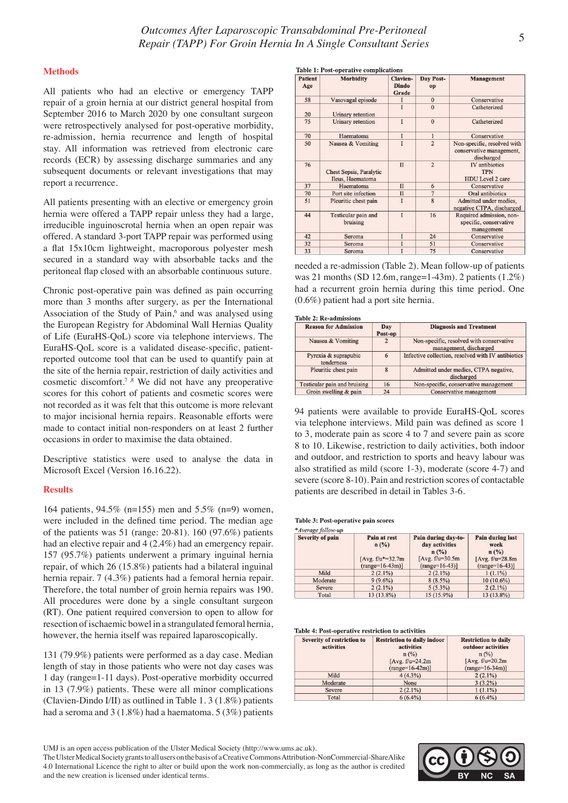# **Methods**

All patients who had an elective or emergency TAPP repair of a groin hernia at our district general hospital from September 2016 to March 2020 by one consultant surgeon were retrospectively analysed for post-operative morbidity, re-admission, hernia recurrence and length of hospital stay. All information was retrieved from electronic care records (ECR) by assessing discharge summaries and any subsequent documents or relevant investigations that may report a recurrence.

All patients presenting with an elective or emergency groin hernia were offered a TAPP repair unless they had a large, irreducible inguinoscrotal hernia when an open repair was offered. A standard 3-port TAPP repair was performed using a flat 15x10cm lightweight, macroporous polyester mesh secured in a standard way with absorbable tacks and the peritoneal flap closed with an absorbable continuous suture.

Chronic post-operative pain was defined as pain occurring more than 3 months after surgery, as per the International Association of the Study of Pain,<sup>6</sup> and was analysed using the European Registry for Abdominal Wall Hernias Quality of Life (EuraHS-QoL) score via telephone interviews. The EuraHS-QoL score is a validated disease-specific, patientreported outcome tool that can be used to quantify pain at the site of the hernia repair, restriction of daily activities and cosmetic discomfort.<sup>7</sup>.8 We did not have any preoperative scores for this cohort of patients and cosmetic scores were not recorded as it was felt that this outcome is more relevant to major incisional hernia repairs. Reasonable efforts were made to contact initial non-responders on at least 2 further occasions in order to maximise the data obtained.

Descriptive statistics were used to analyse the data in Microsoft Excel (Version 16.16.22).

# **Results**

164 patients, 94.5% (n=155) men and 5.5% (n=9) women, were included in the defined time period. The median age of the patients was 51 (range: 20-81). 160 (97.6%) patients had an elective repair and 4 (2.4%) had an emergency repair. 157 (95.7%) patients underwent a primary inguinal hernia repair, of which 26 (15.8%) patients had a bilateral inguinal hernia repair. 7 (4.3%) patients had a femoral hernia repair. Therefore, the total number of groin hernia repairs was 190. All procedures were done by a single consultant surgeon (RT). One patient required conversion to open to allow for resection of ischaemic bowel in a strangulated femoral hernia, however, the hernia itself was repaired laparoscopically.

131 (79.9%) patients were performed as a day case. Median length of stay in those patients who were not day cases was 1 day (range=1-11 days). Post-operative morbidity occurred in 13 (7.9%) patients. These were all minor complications (Clavien-Dindo I/II) as outlined in Table 1. 3 (1.8%) patients had a seroma and  $3(1.8\%)$  had a haematoma.  $5(3\%)$  patients

| <b>Table 1: Post-operative complications</b> |                                                    |                                   |                 |                                                                       |
|----------------------------------------------|----------------------------------------------------|-----------------------------------|-----------------|-----------------------------------------------------------------------|
| <b>Patient</b><br>Age                        | <b>Morbidity</b>                                   | Clavien-<br><b>Dindo</b><br>Grade | Day Post-<br>op | Management                                                            |
| 58                                           | Vasovagal episode                                  |                                   | $\mathbf{0}$    | Conservative                                                          |
| 20                                           | Urinary retention                                  | T                                 | $\mathbf{0}$    | Catheterized                                                          |
| 75                                           | Urinary retention                                  | T                                 | $\mathbf{0}$    | Catheterized                                                          |
| 70                                           | Haematoma                                          | I                                 | $\mathbf{1}$    | Conservative                                                          |
| 50                                           | Nausea & Vomiting                                  | T                                 | $\overline{2}$  | Non-specific, resolved with<br>conservative management,<br>discharged |
| 76                                           | <b>Chest Sepsis, Paralytic</b><br>Ileus, Haematoma | $\mathbf{I}$                      | $\overline{2}$  | IV antibiotics<br><b>TPN</b><br>HDU Level 2 care                      |
| 37                                           | Haematoma                                          | $\mathbf{I}$                      | 6               | Conservative                                                          |
| 70                                           | Port site infection                                | $\Pi$                             | $\overline{7}$  | Oral antibiotics                                                      |
| 51                                           | Pleuritic chest pain                               | T                                 | 8               | Admitted under medics,<br>negative CTPA, discharged                   |
| 44                                           | Testicular pain and<br>bruising                    | T                                 | 16              | Required admission, non-<br>specific, conservative<br>management      |
| 42                                           | Seroma                                             | I                                 | 24              | Conservative                                                          |
| 32                                           | Seroma                                             |                                   | 51              | Conservative                                                          |
| 33                                           | Seroma                                             |                                   | 75              | Conservative                                                          |

needed a re-admission (Table 2). Mean follow-up of patients was 21 months (SD 12.6m, range=1-43m). 2 patients (1.2%) had a recurrent groin hernia during this time period. One (0.6%) patient had a port site hernia.

# Table 2: Re-admissions

| <b>Reason for Admission</b>        | Day<br>Post-op | <b>Diagnosis and Treatment</b>                                     |
|------------------------------------|----------------|--------------------------------------------------------------------|
| Nausea & Vomiting                  | $\overline{2}$ | Non-specific, resolved with conservative<br>management, discharged |
| Pyrexia & suprapubic<br>tenderness | 6              | Infective collection, resolved with IV antibiotics                 |
| Pleuritic chest pain               | $\mathbf{8}$   | Admitted under medics, CTPA negative,<br>discharged                |
| Testicular pain and bruising       | 16             | Non-specific, conservative management                              |
| Groin swelling & pain              | 24             | Conservative management                                            |

94 patients were available to provide EuraHS-QoL scores via telephone interviews. Mild pain was defined as score 1 to 3, moderate pain as score 4 to 7 and severe pain as score 8 to 10. Likewise, restriction to daily activities, both indoor and outdoor, and restriction to sports and heavy labour was also stratified as mild (score 1-3), moderate (score 4-7) and severe (score 8-10). Pain and restriction scores of contactable patients are described in detail in Tables 3-6.

# Table 3: Post-operative pain scores

| *Average follow-up |                                            |                                               |                                            |
|--------------------|--------------------------------------------|-----------------------------------------------|--------------------------------------------|
| Severity of pain   | Pain at rest<br>$n$ (%)                    | Pain during day-to-<br>day activities<br>n(%) | <b>Pain during last</b><br>week<br>$n$ (%) |
|                    | [Avg. $f/u^* = 32.7m$<br>$(range=16-43m)]$ | [Avg. $f/u=30.5m$ ]<br>$(range=16-43)$ ]      | [Avg. $f/u=28.8m$ ]<br>$(range=16-43)$     |
| Mild               | $2(2.1\%)$                                 | $2(2.1\%)$                                    | $1(1.1\%)$                                 |
| Moderate           | $9(9.6\%)$                                 | $8(8.5\%)$                                    | $10(10.6\%)$                               |
| Severe             | $2(2.1\%)$                                 | $5(5.3\%)$                                    | $2(2.1\%)$                                 |
| Total              | 13 (13.8%)                                 | $15(15.9\%)$                                  | 13 (13.8%)                                 |

#### Table 4: Post-operative restriction to activities

| <b>Severity of restriction to</b> | <b>Restriction to daily indoor</b> | <b>Restriction to daily</b> |
|-----------------------------------|------------------------------------|-----------------------------|
| activities                        | activities                         | outdoor activities          |
|                                   | $n (\%)$                           | $n$ (%)                     |
|                                   | [ $Avg. f/u=24.2m$ ]               | [Avg. $f/u=20.2m$ ]         |
|                                   | $(range=16-42m)]$                  | $(range=16-34m)]$           |
| Mild                              | $4(4.3\%)$                         | $2(2.1\%)$                  |
| Moderate                          | None                               | $3(3.2\%)$                  |
| Severe                            | $2(2.1\%)$                         | $1(1.1\%)$                  |
| Total                             | $6(6.4\%)$                         | $6(6.4\%)$                  |

The Ulster Medical Society grants to all users on the basis of a Creative Commons Attribution-NonCommercial-ShareAlike 4.0 International Licence the right to alter or build upon the work non-commercially, as long as the author is credited and the new creation is licensed under identical terms.



UMJ is an open access publication of the Ulster Medical Society (http://www.ums.ac.uk).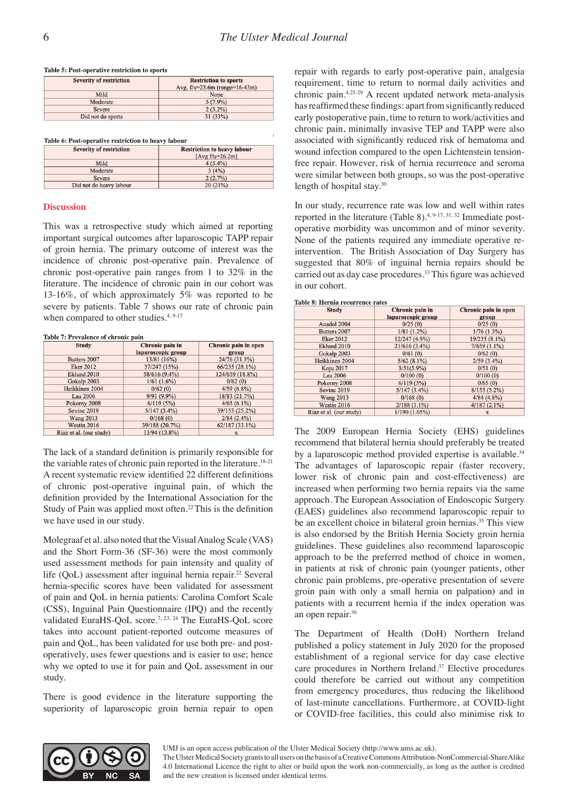### Table 5: Post-operative restriction to sports

| <b>Severity of restriction</b> | <b>Restriction to sports</b>    |  |
|--------------------------------|---------------------------------|--|
|                                | Avg. $f/u=23.6m$ (range=16-43m) |  |
| Mild                           | None                            |  |
| Moderate                       | $5(7.9\%)$                      |  |
| Severe                         | $2(3.2\%)$                      |  |
| Did not do sports              | 31 (33%)                        |  |

Table 6: Post-operative restriction to heavy labour

| <b>Severity of restriction</b> | <b>Restriction to heavy labour</b> |  |
|--------------------------------|------------------------------------|--|
|                                | [ $Avg$ f/u= $26.2$ m]             |  |
| Mild                           | $4(5.4\%)$                         |  |
| Moderate                       | 3(4%)                              |  |
| Severe                         | 2(2.7%)                            |  |
| Did not do heavy labour        | 20(21%)                            |  |

# **Discussion**

This was a retrospective study which aimed at reporting important surgical outcomes after laparoscopic TAPP repair of groin hernia. The primary outcome of interest was the incidence of chronic post-operative pain. Prevalence of chronic post-operative pain ranges from 1 to 32% in the literature. The incidence of chronic pain in our cohort was 13-16%, of which approximately 5% was reported to be severe by patients. Table 7 shows our rate of chronic pain when compared to other studies. $4,9-17$ 

#### Table 7: Prevalence of chronic pain

| <b>Study</b>            | Chronic pain in    | Chronic pain in open |  |  |
|-------------------------|--------------------|----------------------|--|--|
|                         | laparoscopic group | group                |  |  |
| Butters 2007            | 13/81 (16%)        | 24/76 (31.5%)        |  |  |
| <b>Eker 2012</b>        | 37/247 (15%)       | 66/235 (28.1%)       |  |  |
| Eklund 2010             | 58/616 (9.4%)      | 124/659 (18.8%)      |  |  |
| Gokalp 2003             | $1/61(1.6\%)$      | 0/62(0)              |  |  |
| Heikkinen 2004          | 0/62(0)            | $4/59(6.8\%)$        |  |  |
| Lau 2006                | $9/91(9.9\%)$      | 18/83 (21.7%)        |  |  |
| Pokorny 2008            | 6/119(5%)          | $4/65(6.1\%)$        |  |  |
| Sevinc 2019             | $5/147(3.4\%)$     | 39/155 (25.2%)       |  |  |
| <b>Wang 2013</b>        | 0/168(0)           | $2/84(2.4\%)$        |  |  |
| Westin 2016             | 39/188 (20.7%)     | $62/187(33.1\%)$     |  |  |
| Riaz et al. (our study) | 13/94 (13.8%)      | X                    |  |  |

The lack of a standard definition is primarily responsible for the variable rates of chronic pain reported in the literature.<sup>18-21</sup> A recent systematic review identified 22 different definitions of chronic post-operative inguinal pain, of which the definition provided by the International Association for the Study of Pain was applied most often.<sup>22</sup> This is the definition we have used in our study.

Molegraaf et al. also noted that the Visual Analog Scale (VAS) and the Short Form-36 (SF-36) were the most commonly used assessment methods for pain intensity and quality of life (QoL) assessment after inguinal hernia repair.<sup>22</sup> Several hernia-specific scores have been validated for assessment of pain and QoL in hernia patients: Carolina Comfort Scale (CSS), Inguinal Pain Questionnaire (IPQ) and the recently validated EuraHS-QoL score.<sup>7, 23, 24</sup> The EuraHS-QoL score takes into account patient-reported outcome measures of pain and QoL, has been validated for use both pre- and postoperatively, uses fewer questions and is easier to use; hence why we opted to use it for pain and QoL assessment in our study.

There is good evidence in the literature supporting the superiority of laparoscopic groin hernia repair to open

repair with regards to early post-operative pain, analgesia requirement, time to return to normal daily activities and chronic pain.4,25-29 A recent updated network meta-analysis has reaffirmed these findings: apart from significantly reduced early postoperative pain, time to return to work/activities and chronic pain, minimally invasive TEP and TAPP were also associated with significantly reduced risk of hematoma and wound infection compared to the open Lichtenstein tensionfree repair. However, risk of hernia recurrence and seroma were similar between both groups, so was the post-operative length of hospital stay.<sup>30</sup>

In our study, recurrence rate was low and well within rates reported in the literature (Table 8).<sup>4, 9-17, 31, 32</sup> Immediate postoperative morbidity was uncommon and of minor severity. None of the patients required any immediate operative reintervention. The British Association of Day Surgery has suggested that 80% of inguinal hernia repairs should be carried out as day case procedures.33 This figure was achieved in our cohort.

|  | Table 8: Hernia recurrence rates |  |
|--|----------------------------------|--|
|  |                                  |  |

| <b>Study</b>            | Chronic pain in    | Chronic pain in open |  |  |
|-------------------------|--------------------|----------------------|--|--|
|                         | laparoscopic group | group                |  |  |
| Anadol 2004             | 0/25(0)            | 0/25(0)              |  |  |
| Butters 2007            | $1/81(1.2\%)$      | 1/76(1.3%)           |  |  |
| <b>Eker 2012</b>        | 12/247 (4.9%)      | 19/235 (8.1%)        |  |  |
| Eklund 2010             | 21/616(3.4%)       | $7/659(1.1\%)$       |  |  |
| Gokalp 2003             | 0/61(0)            | 0/62(0)              |  |  |
| Heikkinen 2004          | $5/62(8.1\%)$      | $2/59(3.4\%)$        |  |  |
| <b>Koju 2017</b>        | $3/51(5.9\%)$      | 0/51(0)              |  |  |
| Lau 2006                | 0/100(0)           | 0/100(0)             |  |  |
| Pokorny 2008            | 6/119(5%)          | 0/65(0)              |  |  |
| Sevinc 2019             | $5/147(3.4\%)$     | $8/155(5.2\%)$       |  |  |
| <b>Wang 2013</b>        | 0/168(0)           | 4/84(4.8%)           |  |  |
| Westin 2016             | $2/188(1.1\%)$     | 4/187(2.1%)          |  |  |
| Riaz et al. (our study) | 1/190(1.05%)       | X                    |  |  |

The 2009 European Hernia Society (EHS) guidelines recommend that bilateral hernia should preferably be treated by a laparoscopic method provided expertise is available.<sup>34</sup> The advantages of laparoscopic repair (faster recovery, lower risk of chronic pain and cost-effectiveness) are increased when performing two hernia repairs via the same approach. The European Association of Endoscopic Surgery (EAES) guidelines also recommend laparoscopic repair to be an excellent choice in bilateral groin hernias.<sup>35</sup> This view is also endorsed by the British Hernia Society groin hernia guidelines. These guidelines also recommend laparoscopic approach to be the preferred method of choice in women, in patients at risk of chronic pain (younger patients, other chronic pain problems, pre-operative presentation of severe groin pain with only a small hernia on palpation) and in patients with a recurrent hernia if the index operation was an open repair.36

The Department of Health (DoH) Northern Ireland published a policy statement in July 2020 for the proposed establishment of a regional service for day case elective care procedures in Northern Ireland.<sup>37</sup> Elective procedures could therefore be carried out without any competition from emergency procedures, thus reducing the likelihood of last-minute cancellations. Furthermore, at COVID-light or COVID-free facilities, this could also minimise risk to



UMJ is an open access publication of the Ulster Medical Society (http://www.ums.ac.uk).

The Ulster Medical Society grants to all users on the basis of a Creative Commons Attribution-NonCommercial-ShareAlike 4.0 International Licence the right to alter or build upon the work non-commercially, as long as the author is credited and the new creation is licensed under identical terms.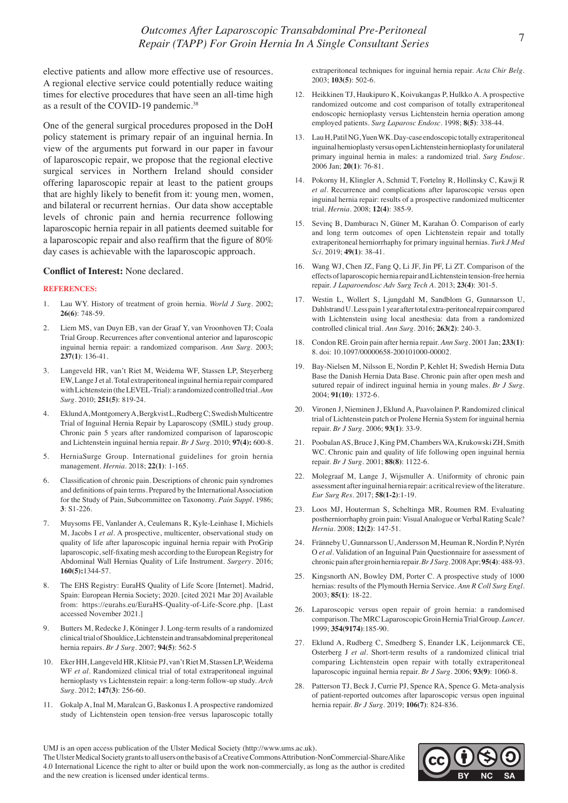elective patients and allow more effective use of resources. A regional elective service could potentially reduce waiting times for elective procedures that have seen an all-time high as a result of the COVID-19 pandemic.<sup>38</sup>

One of the general surgical procedures proposed in the DoH policy statement is primary repair of an inguinal hernia. In view of the arguments put forward in our paper in favour of laparoscopic repair, we propose that the regional elective surgical services in Northern Ireland should consider offering laparoscopic repair at least to the patient groups that are highly likely to benefit from it: young men, women, and bilateral or recurrent hernias. Our data show acceptable levels of chronic pain and hernia recurrence following laparoscopic hernia repair in all patients deemed suitable for a laparoscopic repair and also reaffirm that the figure of 80% day cases is achievable with the laparoscopic approach.

# **Conflict of Interest:** None declared.

# **REFERENCES:**

- 1. Lau WY. History of treatment of groin hernia. *World J Surg.* 2002; **26(6)**: 748-59.
- 2. Liem MS, van Duyn EB, van der Graaf Y, van Vroonhoven TJ; Coala Trial Group. Recurrences after conventional anterior and laparoscopic inguinal hernia repair: a randomized comparison. *Ann Surg*. 2003; **237(1)**: 136-41.
- 3. Langeveld HR, van't Riet M, Weidema WF, Stassen LP, Steyerberg EW, Lange J et al. Total extraperitoneal inguinal hernia repair compared with Lichtenstein (the LEVEL-Trial): a randomized controlled trial. *Ann Surg.* 2010; **251(5)**: 819-24.
- 4. Eklund A, Montgomery A, Bergkvist L, Rudberg C; Swedish Multicentre Trial of Inguinal Hernia Repair by Laparoscopy (SMIL) study group. Chronic pain 5 years after randomized comparison of laparoscopic and Lichtenstein inguinal hernia repair. *Br J Surg.* 2010; **97(4):** 600-8.
- 5. HerniaSurge Group. International guidelines for groin hernia management. *Hernia.* 2018; **22(1)**: 1-165.
- 6. Classification of chronic pain. Descriptions of chronic pain syndromes and definitions of pain terms. Prepared by the International Association for the Study of Pain, Subcommittee on Taxonomy. *Pain Suppl*. 1986; **3**: S1-226.
- 7. Muysoms FE, Vanlander A, Ceulemans R, Kyle-Leinhase I, Michiels M, Jacobs I *et al.* A prospective, multicenter, observational study on quality of life after laparoscopic inguinal hernia repair with ProGrip laparoscopic, self-fixating mesh according to the European Registry for Abdominal Wall Hernias Quality of Life Instrument. *Surgery*. 2016; **160(5):**1344-57.
- 8. The EHS Registry: EuraHS Quality of Life Score [Internet]. Madrid, Spain: European Hernia Society; 2020. [cited 2021 Mar 20] Available from: https://eurahs.eu/EuraHS-Quality-of-Life-Score.php. [Last accessed November 2021.]
- 9. Butters M, Redecke J, Köninger J. Long-term results of a randomized clinical trial of Shouldice, Lichtenstein and transabdominal preperitoneal hernia repairs. *Br J Surg.* 2007; **94(5)**: 562-5
- 10. Eker HH, Langeveld HR, Klitsie PJ, van't Riet M, Stassen LP, Weidema WF *et al*. Randomized clinical trial of total extraperitoneal inguinal hernioplasty vs Lichtenstein repair: a long-term follow-up study. *Arch Surg*. 2012; **147(3)**: 256-60.
- 11. Gokalp A, Inal M, Maralcan G, Baskonus I. A prospective randomized study of Lichtenstein open tension-free versus laparoscopic totally

extraperitoneal techniques for inguinal hernia repair. *Acta Chir Belg.* 2003; **103(5)**: 502-6.

- 12. Heikkinen TJ, Haukipuro K, Koivukangas P, Hulkko A. A prospective randomized outcome and cost comparison of totally extraperitoneal endoscopic hernioplasty versus Lichtenstein hernia operation among employed patients. *Surg Laparosc Endosc.* 1998; **8(5)**: 338-44.
- 13. Lau H, Patil NG, Yuen WK. Day-case endoscopic totally extraperitoneal inguinal hernioplasty versus open Lichtenstein hernioplasty for unilateral primary inguinal hernia in males: a randomized trial. *Surg Endosc.* 2006 Jan; **20(1)**: 76-81.
- 14. Pokorny H, Klingler A, Schmid T, Fortelny R, Hollinsky C, Kawji R *et al.* Recurrence and complications after laparoscopic versus open inguinal hernia repair: results of a prospective randomized multicenter trial. *Hernia.* 2008; **12(4)**: 385-9.
- 15. Sevinç B, Damburacı N, Güner M, Karahan Ö. Comparison of early and long term outcomes of open Lichtenstein repair and totally extraperitoneal herniorrhaphy for primary inguinal hernias. *Turk J Med Sci.* 2019; **49(1)**: 38-41.
- 16. Wang WJ, Chen JZ, Fang Q, Li JF, Jin PF, Li ZT. Comparison of the effects of laparoscopic hernia repair and Lichtenstein tension-free hernia repair. *J Laparoendosc Adv Surg Tech A*. 2013; **23(4)**: 301-5.
- 17. Westin L, Wollert S, Ljungdahl M, Sandblom G, Gunnarsson U, Dahlstrand U. Less pain 1 year after total extra-peritoneal repair compared with Lichtenstein using local anesthesia: data from a randomized controlled clinical trial. *Ann Surg.* 2016; **263(2)**: 240-3.
- 18. Condon RE. Groin pain after hernia repair. *Ann Surg*. 2001 Jan; **233(1)**: 8. doi: 10.1097/00000658-200101000-00002.
- 19. Bay-Nielsen M, Nilsson E, Nordin P, Kehlet H; Swedish Hernia Data Base the Danish Hernia Data Base. Chronic pain after open mesh and sutured repair of indirect inguinal hernia in young males. *Br J Surg*. 2004; **91(10)**: 1372-6.
- 20. Vironen J, Nieminen J, Eklund A, Paavolainen P. Randomized clinical trial of Lichtenstein patch or Prolene Hernia System for inguinal hernia repair. *Br J Surg.* 2006; **93(1)**: 33-9.
- 21. Poobalan AS, Bruce J, King PM, Chambers WA, Krukowski ZH, Smith WC. Chronic pain and quality of life following open inguinal hernia repair. *Br J Surg*. 2001; **88(8)**: 1122-6.
- 22. Molegraaf M, Lange J, Wijsmuller A. Uniformity of chronic pain assessment after inguinal hernia repair: a critical review of the literature. *Eur Surg Res*. 2017; **58(1-2)**:1-19.
- 23. Loos MJ, Houterman S, Scheltinga MR, Roumen RM. Evaluating postherniorrhaphy groin pain: Visual Analogue or Verbal Rating Scale? *Hernia.* 2008; **12(2)**: 147-51.
- 24. Fränneby U, Gunnarsson U, Andersson M, Heuman R, Nordin P, Nyrén O *et al.* Validation of an Inguinal Pain Questionnaire for assessment of chronic pain after groin hernia repair. *Br J Surg.* 2008 Apr; **95(4)**: 488-93.
- 25. Kingsnorth AN, Bowley DM, Porter C. A prospective study of 1000 hernias: results of the Plymouth Hernia Service. *Ann R Coll Surg Engl.* 2003; **85(1)**: 18-22.
- 26. Laparoscopic versus open repair of groin hernia: a randomised comparison. The MRC Laparoscopic Groin Hernia Trial Group. *Lancet.* 1999; **354(9174)**:185-90.
- 27. Eklund A, Rudberg C, Smedberg S, Enander LK, Leijonmarck CE, Osterberg J *et al*. Short-term results of a randomized clinical trial comparing Lichtenstein open repair with totally extraperitoneal laparoscopic inguinal hernia repair. *Br J Surg*. 2006; **93(9)**: 1060-8.
- 28. Patterson TJ, Beck J, Currie PJ, Spence RA, Spence G. Meta-analysis of patient-reported outcomes after laparoscopic versus open inguinal hernia repair. *Br J Surg*. 2019; **106(7)**: 824-836.

The Ulster Medical Society grants to all users on the basis of a Creative Commons Attribution-NonCommercial-ShareAlike 4.0 International Licence the right to alter or build upon the work non-commercially, as long as the author is credited and the new creation is licensed under identical terms.



UMJ is an open access publication of the Ulster Medical Society (http://www.ums.ac.uk).